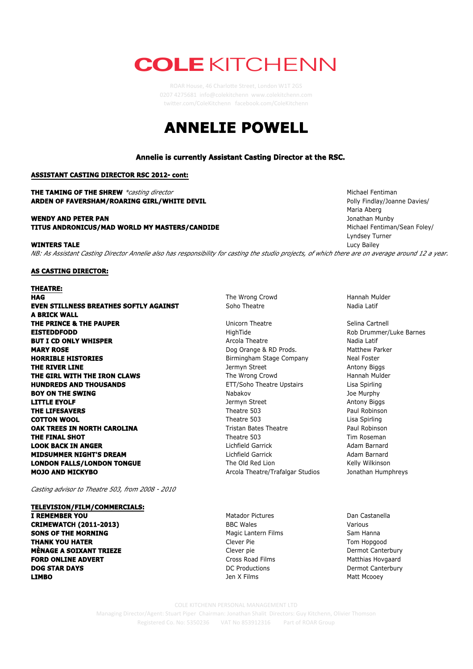# **COLE KITCHENN**

ROAR House, 46 Charlotte Street, London W1T 2GS 0207 4275681 info@colekitchenn www.colekitchenn.com twitter.com/ColeKitchenn facebook.com/ColeKitchenn

## **ANNELIE POWELL**



Managing Director/Agent: Stuart Piper Chairman: Jonathan Shalit Directors: Guy Kitchenn, Olivier Thomson Registered Co. No: 5350236 VAT No 853912316 Part of ROAR Group COLE KITCHENN PERSONAL MANAGEMENT LTD